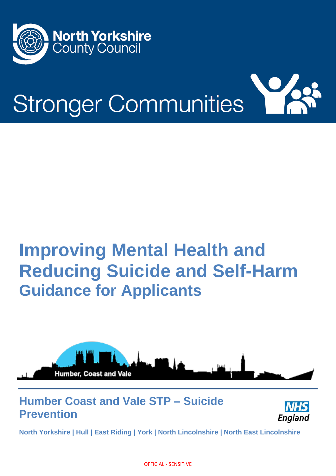



# **Improving Mental Health and Reducing Suicide and Self-Harm Guidance for Applicants**



### **Humber Coast and Vale STP – Suicide Prevention**



**North Yorkshire | Hull | East Riding | York | North Lincolnshire | North East Lincolnshire** 

OFFICIAL - SENSITIVE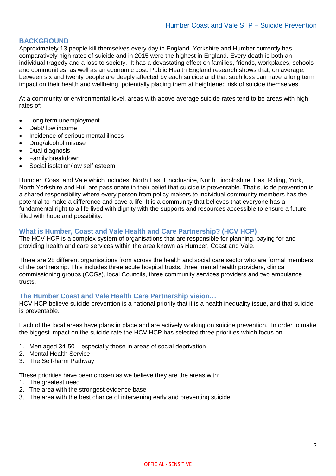#### **BACKGROUND**

Approximately 13 people kill themselves every day in England. Yorkshire and Humber currently has comparatively high rates of suicide and in 2015 were the highest in England. Every death is both an individual tragedy and a loss to society. It has a devastating effect on families, friends, workplaces, schools and communities, as well as an economic cost. Public Health England research shows that, on average, between six and twenty people are deeply affected by each suicide and that such loss can have a long term impact on their health and wellbeing, potentially placing them at heightened risk of suicide themselves.

At a community or environmental level, areas with above average suicide rates tend to be areas with high rates of:

- Long term unemployment
- Debt/ low income
- Incidence of serious mental illness
- Drug/alcohol misuse
- Dual diagnosis
- Family breakdown
- Social isolation/low self esteem

Humber, Coast and Vale which includes; North East Lincolnshire, North Lincolnshire, East Riding, York, North Yorkshire and Hull are passionate in their belief that suicide is preventable. That suicide prevention is a shared responsibility where every person from policy makers to individual community members has the potential to make a difference and save a life. It is a community that believes that everyone has a fundamental right to a life lived with dignity with the supports and resources accessible to ensure a future filled with hope and possibility.

#### **What is Humber, Coast and Vale Health and Care Partnership? (HCV HCP)**

The HCV HCP is a complex system of organisations that are responsible for planning, paying for and providing health and care services within the area known as Humber, Coast and Vale.

There are 28 different organisations from across the health and social care sector who are formal members of the partnership. This includes three acute hospital trusts, three mental health providers, clinical commissioning groups (CCGs), local Councils, three community services providers and two ambulance trusts.

#### **The Humber Coast and Vale Health Care Partnership vision…**

HCV HCP believe suicide prevention is a national priority that it is a health inequality issue, and that suicide is preventable.

Each of the local areas have plans in place and are actively working on suicide prevention. In order to make the biggest impact on the suicide rate the HCV HCP has selected three priorities which focus on:

- 1. Men aged 34-50 especially those in areas of social deprivation
- 2. Mental Health Service
- 3. The Self-harm Pathway

These priorities have been chosen as we believe they are the areas with:

- 1. The greatest need
- 2. The area with the strongest evidence base
- 3. The area with the best chance of intervening early and preventing suicide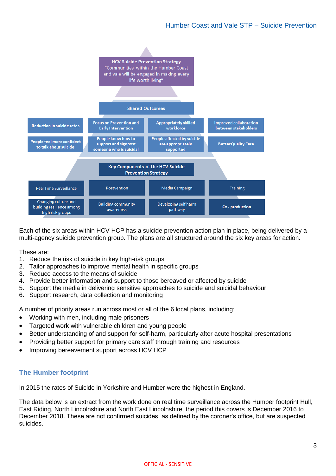

Each of the six areas within HCV HCP has a suicide prevention action plan in place, being delivered by a multi-agency suicide prevention group. The plans are all structured around the six key areas for action.

These are:

- 1. Reduce the risk of suicide in key high-risk groups
- 2. Tailor approaches to improve mental health in specific groups
- 3. Reduce access to the means of suicide
- 4. Provide better information and support to those bereaved or affected by suicide
- 5. Support the media in delivering sensitive approaches to suicide and suicidal behaviour
- 6. Support research, data collection and monitoring

A number of priority areas run across most or all of the 6 local plans, including:

- Working with men, including male prisoners
- Targeted work with vulnerable children and young people
- Better understanding of and support for self-harm, particularly after acute hospital presentations
- Providing better support for primary care staff through training and resources
- Improving bereavement support across HCV HCP

#### **The Humber footprint**

In 2015 the rates of Suicide in Yorkshire and Humber were the highest in England.

The data below is an extract from the work done on real time surveillance across the Humber footprint Hull, East Riding, North Lincolnshire and North East Lincolnshire, the period this covers is December 2016 to December 2018. These are not confirmed suicides, as defined by the coroner's office, but are suspected suicides.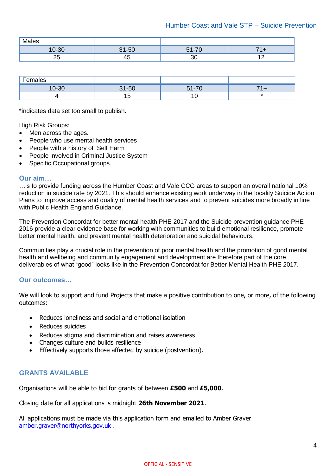| M <sub>1</sub><br>M<br>כסו |     |    |                    |
|----------------------------|-----|----|--------------------|
| ാറ<br>ור.-ו                | E C | –~ |                    |
| --                         |     |    | . .<br>$\cdot$ $-$ |

| -<br>.-emr<br>ιαισδ |              |                          |                          |
|---------------------|--------------|--------------------------|--------------------------|
| $10 - 30$           | $-50$<br>. . | $\overline{\phantom{a}}$ |                          |
|                     |              |                          | $\overline{\phantom{a}}$ |

\*indicates data set too small to publish.

High Risk Groups:

- Men across the ages.
- People who use mental health services
- People with a history of Self Harm
- People involved in Criminal Justice System
- Specific Occupational groups.

#### **Our aim…**

…is to provide funding across the Humber Coast and Vale CCG areas to support an overall national 10% reduction in suicide rate by 2021. This should enhance existing work underway in the locality Suicide Action Plans to improve access and quality of mental health services and to prevent suicides more broadly in line with Public Health England Guidance.

The Prevention Concordat for better mental health PHE 2017 and the Suicide prevention guidance PHE 2016 provide a clear evidence base for working with communities to build emotional resilience, promote better mental health, and prevent mental health deterioration and suicidal behaviours.

Communities play a crucial role in the prevention of poor mental health and the promotion of good mental health and wellbeing and community engagement and development are therefore part of the core deliverables of what "good" looks like in the Prevention Concordat for Better Mental Health PHE 2017.

#### **Our outcomes…**

We will look to support and fund Projects that make a positive contribution to one, or more, of the following outcomes:

- Reduces loneliness and social and emotional isolation
- Reduces suicides
- Reduces stigma and discrimination and raises awareness
- Changes culture and builds resilience
- Effectively supports those affected by suicide (postvention).

#### **GRANTS AVAILABLE**

Organisations will be able to bid for grants of between **£500** and **£5,000**.

Closing date for all applications is midnight **26th November 2021**.

All applications must be made via this application form and emailed to Amber Graver [amber.graver@northyorks.gov.uk](mailto:amber.graver@northyorks.gov.uk) .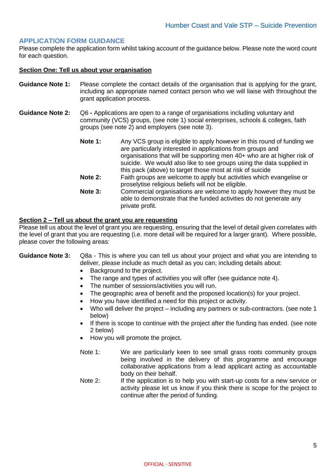#### **APPLICATION FORM GUIDANCE**

Please complete the application form whilst taking account of the guidance below. Please note the word count for each question.

#### **Section One: Tell us about your organisation**

- **Guidance Note 1:** Please complete the contact details of the organisation that is applying for the grant, including an appropriate named contact person who we will liaise with throughout the grant application process.
- **Guidance Note 2:** Q6 **-** Applications are open to a range of organisations including voluntary and community (VCS) groups, (see note 1) social enterprises, schools & colleges, faith groups (see note 2) and employers (see note 3).
	- **Note 1:** Any VCS group is eligible to apply however in this round of funding we are particularly interested in applications from groups and organisations that will be supporting men 40+ who are at higher risk of suicide. We would also like to see groups using the data supplied in this pack (above) to target those most at risk of suicide
	- **Note 2:** Faith groups are welcome to apply but activities which evangelise or proselytise religious beliefs will not be eligible.
	- **Note 3:** Commercial organisations are welcome to apply however they must be able to demonstrate that the funded activities do not generate any private profit.

#### **Section 2 – Tell us about the grant you are requesting**

Please tell us about the level of grant you are requesting, ensuring that the level of detail given correlates with the level of grant that you are requesting (i.e. more detail will be required for a larger grant). Where possible, please cover the following areas:

#### **Guidance Note 3:** Q8a - This is where you can tell us about your project and what you are intending to deliver, please include as much detail as you can; including details about:

- Background to the project.
- The range and types of activities you will offer (see guidance note 4).
- The number of sessions/activities you will run.
- The geographic area of benefit and the proposed location(s) for your project.
- How you have identified a need for this project or activity.
- Who will deliver the project including any partners or sub-contractors. (see note 1 below)
- If there is scope to continue with the project after the funding has ended. (see note 2 below)
- How you will promote the project.
- Note 1: We are particularly keen to see small grass roots community groups being involved in the delivery of this programme and encourage collaborative applications from a lead applicant acting as accountable body on their behalf.
- Note 2: If the application is to help you with start-up costs for a new service or activity please let us know if you think there is scope for the project to continue after the period of funding.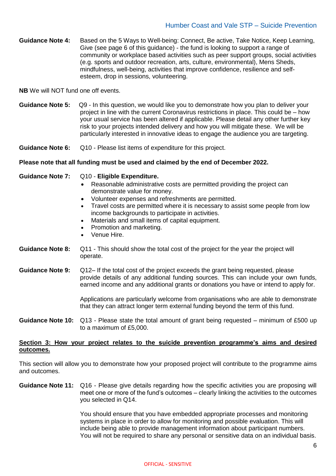**Guidance Note 4:** Based on the 5 Ways to Well-being: Connect, Be active, Take Notice, Keep Learning, Give (see page 6 of this guidance) - the fund is looking to support a range of community or workplace based activities such as peer support groups, social activities (e.g. sports and outdoor recreation, arts, culture, environmental), Mens Sheds, mindfulness, well-being, activities that improve confidence, resilience and selfesteem, drop in sessions, volunteering.

**NB** We will NOT fund one off events.

**Guidance Note 5:** Q9 - In this question, we would like you to demonstrate how you plan to deliver your project in line with the current Coronavirus restrictions in place. This could be – how your usual service has been altered if applicable. Please detail any other further key risk to your projects intended delivery and how you will mitigate these. We will be particularly interested in innovative ideas to engage the audience you are targeting.

**Guidance Note 6:** Q10 - Please list items of expenditure for this project.

#### **Please note that all funding must be used and claimed by the end of December 2022.**

#### **Guidance Note 7:** Q10 - **Eligible Expenditure.**

- Reasonable administrative costs are permitted providing the project can demonstrate value for money.
- Volunteer expenses and refreshments are permitted.
- Travel costs are permitted where it is necessary to assist some people from low income backgrounds to participate in activities.
- Materials and small items of capital equipment.
- Promotion and marketing.
- Venue Hire.
- **Guidance Note 8:** Q11 This should show the total cost of the project for the year the project will operate.
- **Guidance Note 9:** Q12– If the total cost of the project exceeds the grant being requested, please provide details of any additional funding sources. This can include your own funds, earned income and any additional grants or donations you have or intend to apply for.

Applications are particularly welcome from organisations who are able to demonstrate that they can attract longer term external funding beyond the term of this fund.

**Guidance Note 10:** Q13 - Please state the total amount of grant being requested – minimum of £500 up to a maximum of £5,000.

#### **Section 3: How your project relates to the suicide prevention programme's aims and desired outcomes.**

This section will allow you to demonstrate how your proposed project will contribute to the programme aims and outcomes.

**Guidance Note 11:** Q16 - Please give details regarding how the specific activities you are proposing will meet one or more of the fund's outcomes – clearly linking the activities to the outcomes you selected in Q14.

> You should ensure that you have embedded appropriate processes and monitoring systems in place in order to allow for monitoring and possible evaluation. This will include being able to provide management information about participant numbers. You will not be required to share any personal or sensitive data on an individual basis.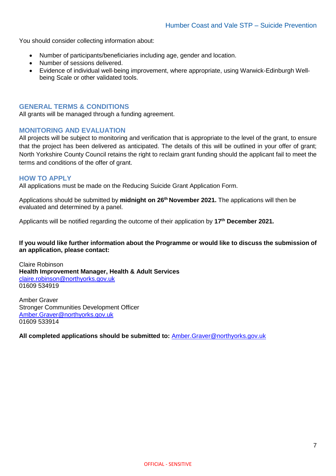You should consider collecting information about:

- Number of participants/beneficiaries including age, gender and location.
- Number of sessions delivered.
- Evidence of individual well-being improvement, where appropriate, using Warwick-Edinburgh Wellbeing Scale or other validated tools.

#### **GENERAL TERMS & CONDITIONS**

All grants will be managed through a funding agreement.

#### **MONITORING AND EVALUATION**

All projects will be subject to monitoring and verification that is appropriate to the level of the grant, to ensure that the project has been delivered as anticipated. The details of this will be outlined in your offer of grant; North Yorkshire County Council retains the right to reclaim grant funding should the applicant fail to meet the terms and conditions of the offer of grant.

#### **HOW TO APPLY**

All applications must be made on the Reducing Suicide Grant Application Form.

Applications should be submitted by **midnight on 26 th November 2021.** The applications will then be evaluated and determined by a panel.

Applicants will be notified regarding the outcome of their application by **17 th December 2021.**

#### **If you would like further information about the Programme or would like to discuss the submission of an application, please contact:**

Claire Robinson **Health Improvement Manager, Health & Adult Services** [claire.robinson@northyorks.gov.uk](mailto:claire.robinson@northyorks.gov.uk) 01609 534919

Amber Graver Stronger Communities Development Officer [Amber.Graver@northyorks.gov.uk](mailto:Amber.Graver@northyorks.gov.uk) 01609 533914

**All completed applications should be submitted to:** [Amber.Graver@northyorks.gov.uk](mailto:Amber.Graver@northyorks.gov.uk)